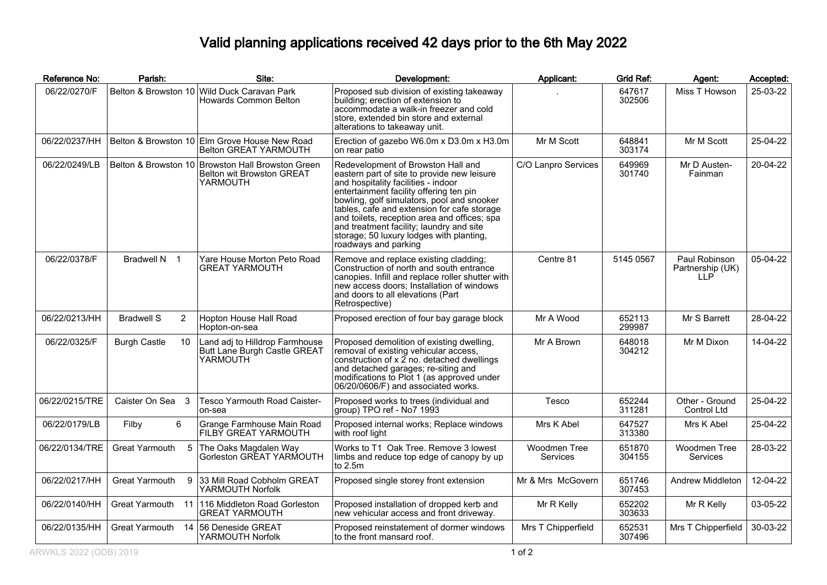## Valid planning applications received 42 days prior to the 6th May 2022

| Reference No:  | Parish:                   | Site:                                                                                             | Development:                                                                                                                                                                                                                                                                                                                                                                                                                     | Applicant:               | Grid Ref:        | Agent:                                   | Accepted: |
|----------------|---------------------------|---------------------------------------------------------------------------------------------------|----------------------------------------------------------------------------------------------------------------------------------------------------------------------------------------------------------------------------------------------------------------------------------------------------------------------------------------------------------------------------------------------------------------------------------|--------------------------|------------------|------------------------------------------|-----------|
| 06/22/0270/F   |                           | Belton & Browston 10 Wild Duck Caravan Park<br>Howards Common Belton                              | Proposed sub division of existing takeaway<br>building; erection of extension to<br>accommodate a walk-in freezer and cold<br>store, extended bin store and external<br>alterations to takeaway unit.                                                                                                                                                                                                                            |                          | 647617<br>302506 | Miss T Howson                            | 25-03-22  |
| 06/22/0237/HH  |                           | Belton & Browston 10 Elm Grove House New Road<br>Belton GREAT YARMOUTH                            | Erection of gazebo W6.0m x D3.0m x H3.0m<br>on rear patio                                                                                                                                                                                                                                                                                                                                                                        | Mr M Scott               | 648841<br>303174 | Mr M Scott                               | 25-04-22  |
| 06/22/0249/LB  |                           | Belton & Browston 10 Browston Hall Browston Green<br><b>Belton wit Browston GREAT</b><br>YARMOUTH | Redevelopment of Browston Hall and<br>eastern part of site to provide new leisure<br>and hospitality facilities - indoor<br>entertainment facility offering ten pin<br>bowling, golf simulators, pool and snooker<br>tables, cafe and extension for cafe storage<br>and toilets, reception area and offices; spa<br>and treatment facility; laundry and site<br>storage; 50 luxury lodges with planting,<br>roadways and parking | C/O Lanpro Services      | 649969<br>301740 | Mr D Austen-<br>Fainman                  | 20-04-22  |
| 06/22/0378/F   | Bradwell N 1              | Yare House Morton Peto Road<br><b>GREAT YARMOUTH</b>                                              | Remove and replace existing cladding;<br>Construction of north and south entrance<br>canopies. Infill and replace roller shutter with<br>new access doors; Installation of windows<br>and doors to all elevations (Part<br>Retrospective)                                                                                                                                                                                        | Centre 81                | 5145 0567        | Paul Robinson<br>Partnership (UK)<br>11P | 05-04-22  |
| 06/22/0213/HH  | <b>Bradwell S</b><br>2    | Hopton House Hall Road<br>Hopton-on-sea                                                           | Proposed erection of four bay garage block                                                                                                                                                                                                                                                                                                                                                                                       | Mr A Wood                | 652113<br>299987 | Mr S Barrett                             | 28-04-22  |
| 06/22/0325/F   | <b>Burgh Castle</b><br>10 | Land adj to Hilldrop Farmhouse<br>Butt Lane Burgh Castle GREAT<br>YARMOUTH                        | Proposed demolition of existing dwelling,<br>removal of existing vehicular access,<br>construction of $x \tilde{2}$ no. detached dwellings<br>and detached garages; re-siting and<br>modifications to Plot 1 (as approved under<br>06/20/0606/F) and associated works.                                                                                                                                                           | Mr A Brown               | 648018<br>304212 | Mr M Dixon                               | 14-04-22  |
| 06/22/0215/TRE | Caister On Sea 3          | <b>Tesco Yarmouth Road Caister-</b><br>on-sea                                                     | Proposed works to trees (individual and<br>group) TPO ref - No7 1993                                                                                                                                                                                                                                                                                                                                                             | Tesco                    | 652244<br>311281 | Other - Ground<br>Control Ltd            | 25-04-22  |
| 06/22/0179/LB  | 6<br>Filby                | Grange Farmhouse Main Road<br>FILBY GREAT YARMOUTH                                                | Proposed internal works; Replace windows<br>with roof light                                                                                                                                                                                                                                                                                                                                                                      | Mrs K Abel               | 647527<br>313380 | Mrs K Abel                               | 25-04-22  |
| 06/22/0134/TRE | 5<br>Great Yarmouth       | The Oaks Magdalen Way<br>Gorleston GREAT YARMOUTH                                                 | Works to T1 Oak Tree. Remove 3 lowest<br>limbs and reduce top edge of canopy by up<br>to $2.5m$                                                                                                                                                                                                                                                                                                                                  | Woodmen Tree<br>Services | 651870<br>304155 | Woodmen Tree<br><b>Services</b>          | 28-03-22  |
| 06/22/0217/HH  | Great Yarmouth<br>9       | 33 Mill Road Cobholm GREAT<br>YARMOUTH Norfolk                                                    | Proposed single storey front extension                                                                                                                                                                                                                                                                                                                                                                                           | Mr & Mrs McGovern        | 651746<br>307453 | Andrew Middleton                         | 12-04-22  |
| 06/22/0140/HH  | Great Yarmouth 11         | 116 Middleton Road Gorleston<br><b>GREAT YARMOUTH</b>                                             | Proposed installation of dropped kerb and<br>new vehicular access and front driveway.                                                                                                                                                                                                                                                                                                                                            | Mr R Kelly               | 652202<br>303633 | Mr R Kelly                               | 03-05-22  |
| 06/22/0135/HH  | Great Yarmouth            | 14 56 Deneside GREAT<br>YARMOUTH Norfolk                                                          | Proposed reinstatement of dormer windows<br>to the front mansard roof.                                                                                                                                                                                                                                                                                                                                                           | Mrs T Chipperfield       | 652531<br>307496 | Mrs T Chipperfield                       | 30-03-22  |